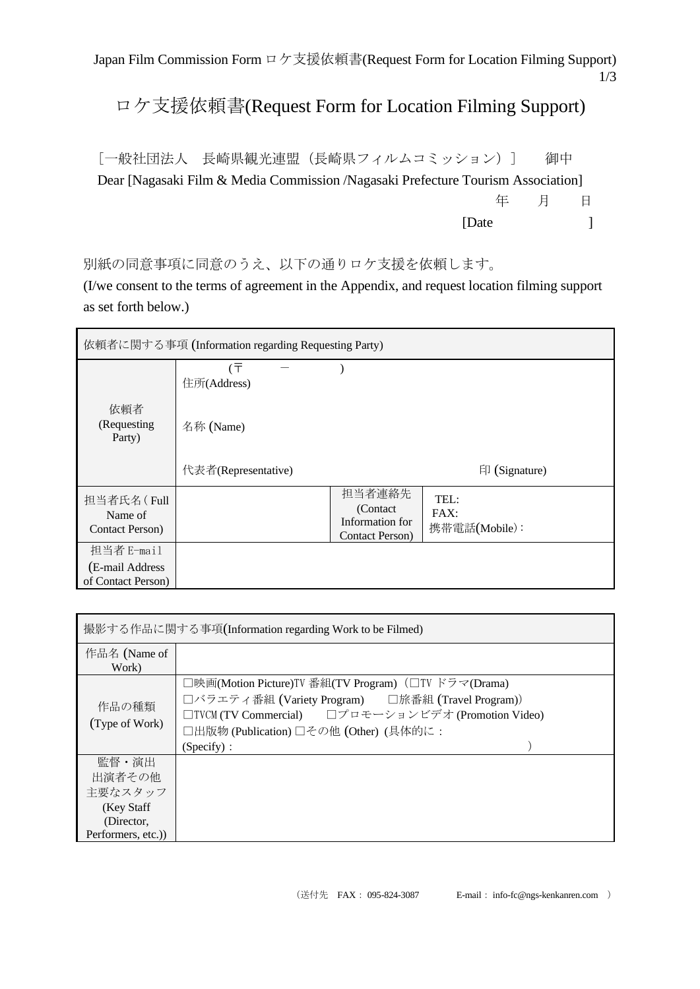Japan Film Commission Form ロケ支援依頼書(Request Form for Location Filming Support) 1/3

## ロケ支援依頼書(Request Form for Location Filming Support)

[一般社団法人 長崎県観光連盟(長崎県フィルムコミッション)] 御中 Dear [Nagasaki Film & Media Commission /Nagasaki Prefecture Tourism Association] 年 月 日 [Date ]

別紙の同意事項に同意のうえ、以下の通りロケ支援を依頼します。

(I/we consent to the terms of agreement in the Appendix, and request location filming support as set forth below.)

| 依頼者に関する事項 (Information regarding Requesting Party) |                     |                                                           |                               |
|----------------------------------------------------|---------------------|-----------------------------------------------------------|-------------------------------|
|                                                    | (〒<br>住所(Address)   |                                                           |                               |
| 依頼者<br>(Requesting<br>Party)                       | 名称 (Name)           |                                                           |                               |
|                                                    | 代表者(Representative) |                                                           | $\Box$ (Signature)            |
| 担当者氏名(Full<br>Name of<br>Contact Person)           |                     | 担当者連絡先<br>(Contact)<br>Information for<br>Contact Person) | TEL:<br>FAX:<br>携带電話(Mobile): |
| 担当者 E-mail                                         |                     |                                                           |                               |
| (E-mail Address<br>of Contact Person)              |                     |                                                           |                               |

| 撮影する作品に関する事項(Information regarding Work to be Filmed)                        |                                                                                                                                                                                                                          |  |
|------------------------------------------------------------------------------|--------------------------------------------------------------------------------------------------------------------------------------------------------------------------------------------------------------------------|--|
| 作品名 (Name of<br>Work)                                                        |                                                                                                                                                                                                                          |  |
| 作品の種類<br>(Type of Work)                                                      | □映画(Motion Picture)TV 番組(TV Program) (□TV ドラマ(Drama)<br>□バラエティ番組 (Variety Program) □旅番組 (Travel Program))<br>□TVCM (TV Commercial) □プロモーションビデオ (Promotion Video)<br>□出版物 (Publication) □その他 (Other) (具体的に:<br>(Specify): |  |
| 監督・演出<br>出演者その他<br>主要なスタッフ<br>(Key Staff)<br>(Director,<br>Performers, etc.) |                                                                                                                                                                                                                          |  |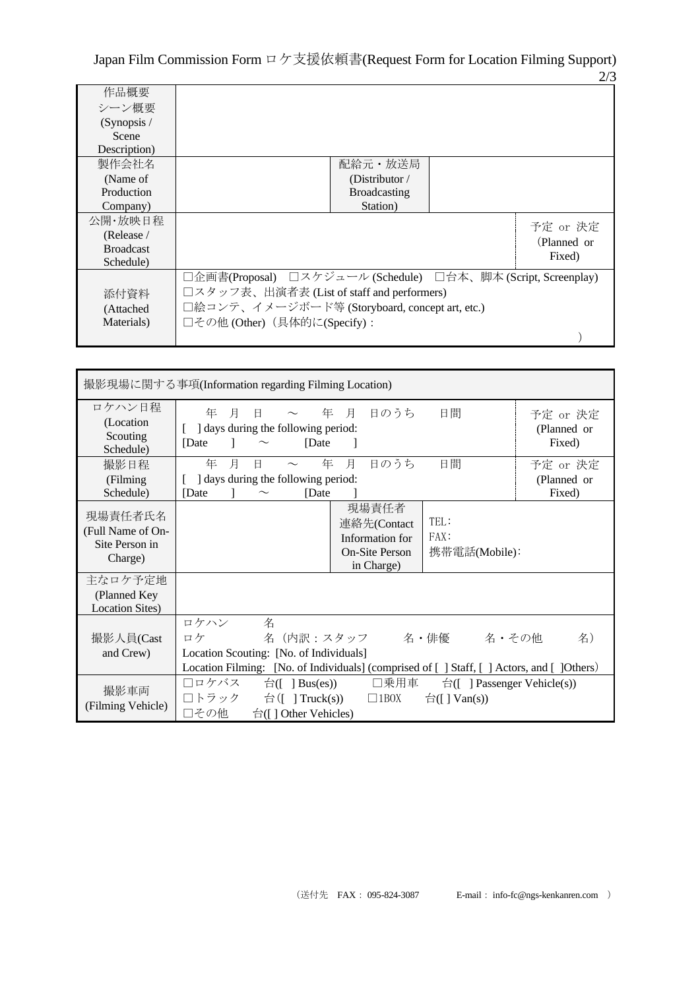Japan Film Commission Form ロケ支援依頼書(Request Form for Location Filming Support) 2/3

|                  |                                                               |                     |  | – ⊸         |
|------------------|---------------------------------------------------------------|---------------------|--|-------------|
| 作品概要             |                                                               |                     |  |             |
| シーン概要            |                                                               |                     |  |             |
| (Synopsis /      |                                                               |                     |  |             |
| Scene            |                                                               |                     |  |             |
| Description)     |                                                               |                     |  |             |
| 製作会社名            |                                                               | 配給元・放送局             |  |             |
| (Name of         |                                                               | (Distributor $/$    |  |             |
| Production       |                                                               | <b>Broadcasting</b> |  |             |
| Company)         |                                                               | Station)            |  |             |
| 公開・放映日程          |                                                               |                     |  | 予定 or 決定    |
| (Release /       |                                                               |                     |  | (Planned or |
| <b>Broadcast</b> |                                                               |                     |  |             |
| Schedule)        |                                                               |                     |  | Fixed)      |
|                  | □企画書(Proposal) □スケジュール (Schedule) □台本、脚本 (Script, Screenplay) |                     |  |             |
| 添付資料             | □スタッフ表、出演者表 (List of staff and performers)                    |                     |  |             |
| (Attached)       | □絵コンテ、イメージボード等 (Storyboard, concept art, etc.)                |                     |  |             |
| Materials)       | □その他 (Other) (具体的に(Specify):                                  |                     |  |             |
|                  |                                                               |                     |  |             |
|                  |                                                               |                     |  |             |

| 撮影現場に関する事項(Information regarding Filming Location)        |                                                                                                                                                                                  |                                                                     |
|-----------------------------------------------------------|----------------------------------------------------------------------------------------------------------------------------------------------------------------------------------|---------------------------------------------------------------------|
| ロケハン日程<br>(Location)<br>Scouting<br>Schedule)             | ~ 年 月 日のうち<br>年<br>月<br>$\Box$<br>] days during the following period:<br>[Date]<br>[Date]                                                                                        | 日間<br>予定 or 決定<br>(Planned or<br>Fixed)                             |
| 撮影日程<br>(Filming)<br>Schedule)                            | 日のうち<br>月<br>年<br>月<br>年<br>日<br>days during the following period:<br>[Date]<br>[Date]                                                                                           | 日間<br>予定 or 決定<br>(Planned or<br>Fixed)                             |
| 現場責任者氏名<br>(Full Name of On-<br>Site Person in<br>Charge) | 現場責任者<br>連絡先(Contact<br>Information for<br><b>On-Site Person</b><br>in Charge)                                                                                                   | TEL:<br>FAX:<br>携帯電話(Mobile):                                       |
| 主なロケ予定地<br>(Planned Key<br><b>Location Sites</b> )        |                                                                                                                                                                                  |                                                                     |
| 撮影人員(Cast<br>and Crew)                                    | ロケハン<br>名<br>名(内訳:スタッフ 名・俳優 名・その他<br>ロケ<br>Location Scouting: [No. of Individuals]<br>Location Filming: [No. of Individuals] (comprised of [ ] Staff, [ ] Actors, and [ ]Others) | 名)                                                                  |
| 撮影車両<br>(Filming Vehicle)                                 | □ロケバス<br>口乗用車<br>$\exists$ ([ ] Bus(es))<br>□トラック<br>台( $\lceil$ ] Truck(s))<br>$\Box$ 1BOX<br>□その他<br>$\hat{H}$ ([] Other Vehicles)                                             | $\hat{\Box}$ [ ] Passenger Vehicle(s))<br>$\hat{\Box}$ ([ ] Van(s)) |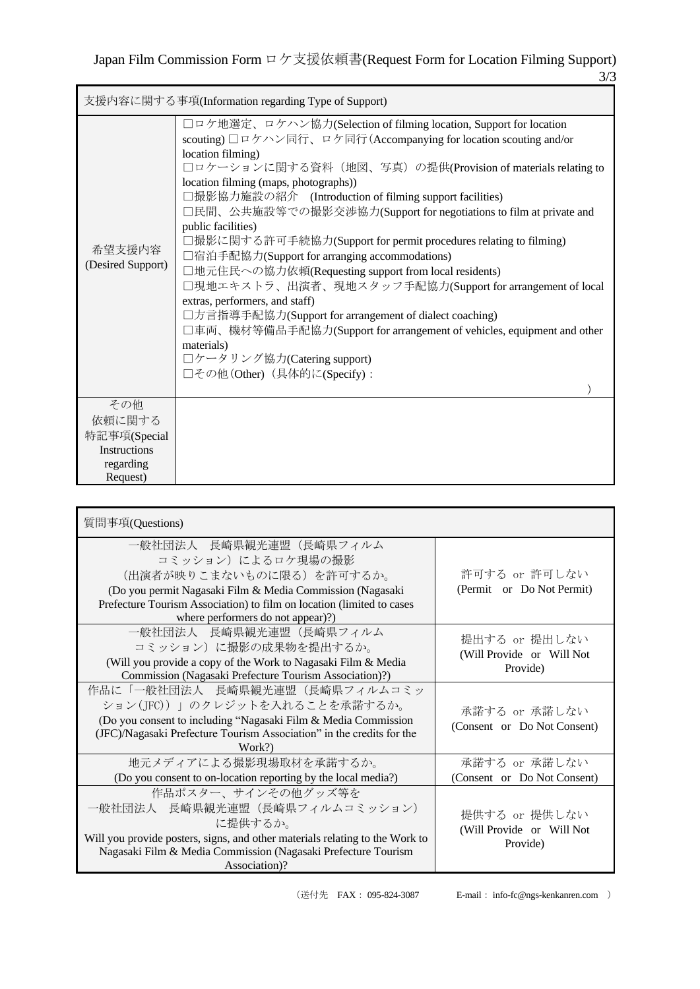|                                       | 支援内容に関する事項(Information regarding Type of Support)                                                                                                                                                                                                                                                                                                                                                                                                                                                                                                                                                                                                                                                                                                                                                                                                                                                                    |
|---------------------------------------|----------------------------------------------------------------------------------------------------------------------------------------------------------------------------------------------------------------------------------------------------------------------------------------------------------------------------------------------------------------------------------------------------------------------------------------------------------------------------------------------------------------------------------------------------------------------------------------------------------------------------------------------------------------------------------------------------------------------------------------------------------------------------------------------------------------------------------------------------------------------------------------------------------------------|
| 希望支援内容<br>(Desired Support)           | □ロケ地選定、ロケハン協力(Selection of filming location, Support for location<br>scouting) コロケハン同行、ロケ同行 (Accompanying for location scouting and/or<br>location filming)<br>□ロケーションに関する資料(地図、写真)の提供(Provision of materials relating to<br>location filming (maps, photographs))<br>□撮影協力施設の紹介 (Introduction of filming support facilities)<br>□民間、公共施設等での撮影交渉協力(Support for negotiations to film at private and<br>public facilities)<br>□撮影に関する許可手続協力(Support for permit procedures relating to filming)<br>□宿泊手配協力(Support for arranging accommodations)<br>□地元住民への協力依頼(Requesting support from local residents)<br>□現地エキストラ、出演者、現地スタッフ手配協力(Support for arrangement of local<br>extras, performers, and staff)<br>□方言指導手配協力(Support for arrangement of dialect coaching)<br>□車両、機材等備品手配協力(Support for arrangement of vehicles, equipment and other<br>materials)<br>□ケータリング協力(Catering support)<br>□その他 (Other) (具体的に(Specify): |
| その他<br>依頼に関する<br>特記事項(Special         |                                                                                                                                                                                                                                                                                                                                                                                                                                                                                                                                                                                                                                                                                                                                                                                                                                                                                                                      |
| Instructions<br>regarding<br>Request) |                                                                                                                                                                                                                                                                                                                                                                                                                                                                                                                                                                                                                                                                                                                                                                                                                                                                                                                      |

| 質問事項(Questions)                                                                                                                                                                                                                                     |                                                        |
|-----------------------------------------------------------------------------------------------------------------------------------------------------------------------------------------------------------------------------------------------------|--------------------------------------------------------|
| 一般社団法人 長崎県観光連盟(長崎県フィルム<br>コミッション)によるロケ現場の撮影<br>(出演者が映りこまないものに限る) を許可するか。<br>(Do you permit Nagasaki Film & Media Commission (Nagasaki<br>Prefecture Tourism Association) to film on location (limited to cases<br>where performers do not appear)?) | 許可する or 許可しない<br>(Permit or Do Not Permit)             |
| 一般社団法人 長崎県観光連盟 (長崎県フィルム<br>コミッション)に撮影の成果物を提出するか。<br>(Will you provide a copy of the Work to Nagasaki Film & Media<br>Commission (Nagasaki Prefecture Tourism Association)?)                                                                         | 提出する or 提出しない<br>(Will Provide or Will Not<br>Provide) |
| 作品に「一般社団法人 長崎県観光連盟(長崎県フィルムコミッ<br>ション(JFC))」のクレジットを入れることを承諾するか。<br>(Do you consent to including "Nagasaki Film & Media Commission<br>(JFC)/Nagasaki Prefecture Tourism Association" in the credits for the<br>Work?)                                 | 承諾する or 承諾しない<br>(Consent or Do Not Consent)           |
| 地元メディアによる撮影現場取材を承諾するか。<br>(Do you consent to on-location reporting by the local media?)                                                                                                                                                             | 承諾する or 承諾しない<br>(Consent or Do Not Consent)           |
| 作品ポスター、サインその他グッズ等を<br>一般社団法人 長崎県観光連盟(長崎県フィルムコミッション)<br>に提供するか。<br>Will you provide posters, signs, and other materials relating to the Work to<br>Nagasaki Film & Media Commission (Nagasaki Prefecture Tourism<br>Association)?                    | 提供する or 提供しない<br>(Will Provide or Will Not<br>Provide) |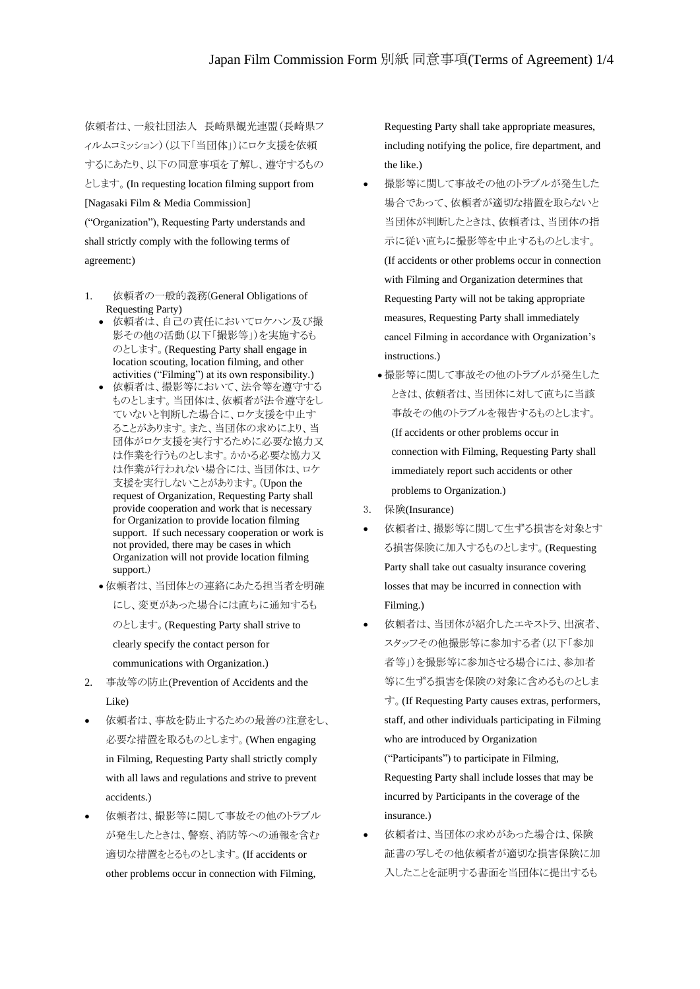依頼者は、一般社団法人 長崎県観光連盟(長崎県フ ィルムコミッション)(以下「当団体」)にロケ支援を依頼 するにあたり、以下の同意事項を了解し、遵守するもの とします。(In requesting location filming support from [Nagasaki Film & Media Commission] ("Organization"), Requesting Party understands and shall strictly comply with the following terms of agreement:)

- 1. 依頼者の一般的義務(General Obligations of Requesting Party)
	- 依頼者は、自己の責任においてロケハン及び撮 影その他の活動(以下「撮影等」)を実施するも のとします。(Requesting Party shall engage in location scouting, location filming, and other activities ("Filming") at its own responsibility.)
	- 依頼者は、撮影等において、法令等を遵守する ものとします。当団体は、依頼者が法令遵守をし ていないと判断した場合に、ロケ支援を中止す ることがあります。また、当団体の求めにより、当 団体がロケ支援を実行するために必要な協力又 は作業を行うものとします。かかる必要な協力又 は作業が行われない場合には、当団体は、ロケ 支援を実行しないことがあります。(Upon the request of Organization, Requesting Party shall provide cooperation and work that is necessary for Organization to provide location filming support. If such necessary cooperation or work is not provided, there may be cases in which Organization will not provide location filming support.)
	- 依頼者は、当団体との連絡にあたる担当者を明確 にし、変更があった場合には直ちに通知するも のとします。(Requesting Party shall strive to clearly specify the contact person for communications with Organization.)
- 2. 事故等の防止(Prevention of Accidents and the Like)
- 依頼者は、事故を防止するための最善の注意をし、 必要な措置を取るものとします。(When engaging in Filming, Requesting Party shall strictly comply with all laws and regulations and strive to prevent accidents.)
- 依頼者は、撮影等に関して事故その他のトラブル が発生したときは、警察、消防等への通報を含む 適切な措置をとるものとします。(If accidents or other problems occur in connection with Filming,

Requesting Party shall take appropriate measures, including notifying the police, fire department, and the like.)

- 撮影等に関して事故その他のトラブルが発生した 場合であって、依頼者が適切な措置を取らないと 当団体が判断したときは、依頼者は、当団体の指 示に従い直ちに撮影等を中止するものとします。 (If accidents or other problems occur in connection with Filming and Organization determines that Requesting Party will not be taking appropriate measures, Requesting Party shall immediately cancel Filming in accordance with Organization's instructions.)
	- 撮影等に関して事故その他のトラブルが発生した ときは、依頼者は、当団体に対して直ちに当該 事故その他のトラブルを報告するものとします。 (If accidents or other problems occur in connection with Filming, Requesting Party shall immediately report such accidents or other problems to Organization.)
- 3. 保険(Insurance)
- 依頼者は、撮影等に関して生ずる損害を対象とす る損害保険に加入するものとします。(Requesting Party shall take out casualty insurance covering losses that may be incurred in connection with Filming.)
- 依頼者は、当団体が紹介したエキストラ、出演者、 スタッフその他撮影等に参加する者(以下「参加 者等」)を撮影等に参加させる場合には、参加者 等に生ずる損害を保険の対象に含めるものとしま す。(If Requesting Party causes extras, performers, staff, and other individuals participating in Filming who are introduced by Organization ("Participants") to participate in Filming,
	- Requesting Party shall include losses that may be incurred by Participants in the coverage of the insurance.)
- 依頼者は、当団体の求めがあった場合は、保険 証書の写しその他依頼者が適切な損害保険に加 入したことを証明する書面を当団体に提出するも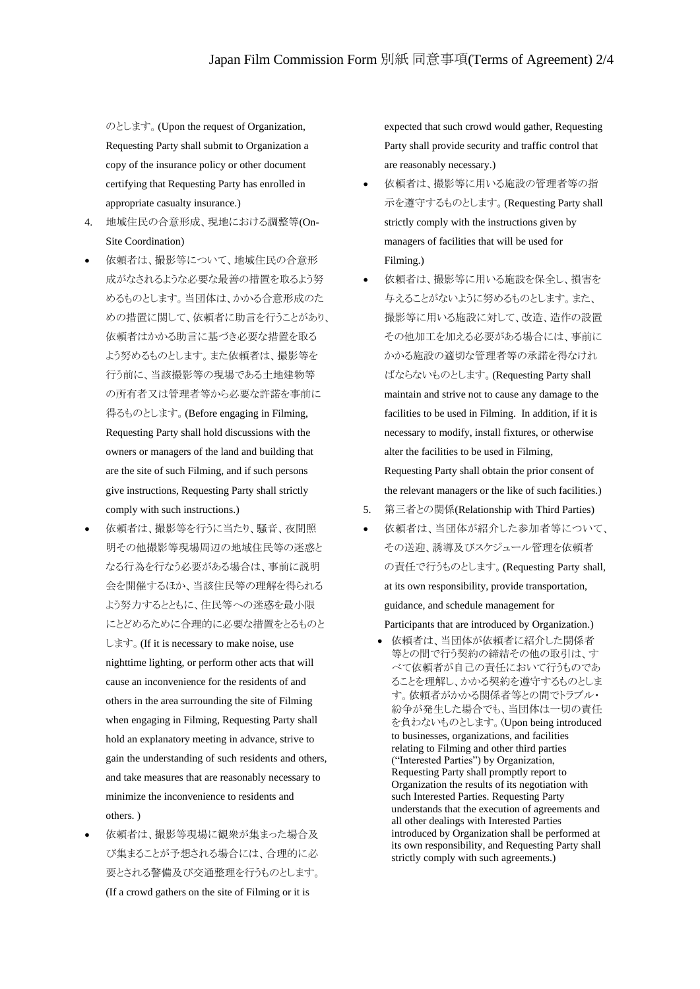のとします。(Upon the request of Organization, Requesting Party shall submit to Organization a copy of the insurance policy or other document certifying that Requesting Party has enrolled in appropriate casualty insurance.)

- 4. 地域住民の合意形成、現地における調整等(On-Site Coordination)
- 依頼者は、撮影等について、地域住民の合意形 成がなされるような必要な最善の措置を取るよう努 めるものとします。当団体は、かかる合意形成のた めの措置に関して、依頼者に助言を行うことがあり、 依頼者はかかる助言に基づき必要な措置を取る よう努めるものとします。また依頼者は、撮影等を 行う前に、当該撮影等の現場である土地建物等 の所有者又は管理者等から必要な許諾を事前に 得るものとします。(Before engaging in Filming, Requesting Party shall hold discussions with the owners or managers of the land and building that are the site of such Filming, and if such persons give instructions, Requesting Party shall strictly comply with such instructions.)
- 依頼者は、撮影等を行うに当たり、騒音、夜間照 明その他撮影等現場周辺の地域住民等の迷惑と なる行為を行なう必要がある場合は、事前に説明 会を開催するほか、当該住民等の理解を得られる よう努力するとともに、住民等への迷惑を最小限 にとどめるために合理的に必要な措置をとるものと します。(If it is necessary to make noise, use nighttime lighting, or perform other acts that will cause an inconvenience for the residents of and others in the area surrounding the site of Filming when engaging in Filming, Requesting Party shall hold an explanatory meeting in advance, strive to gain the understanding of such residents and others, and take measures that are reasonably necessary to minimize the inconvenience to residents and others. )
- 依頼者は、撮影等現場に観衆が集まった場合及 び集まることが予想される場合には、合理的に必 要とされる警備及び交通整理を行うものとします。 (If a crowd gathers on the site of Filming or it is

expected that such crowd would gather, Requesting Party shall provide security and traffic control that are reasonably necessary.)

- 依頼者は、撮影等に用いる施設の管理者等の指 示を遵守するものとします。(Requesting Party shall strictly comply with the instructions given by managers of facilities that will be used for Filming.)
- 依頼者は、撮影等に用いる施設を保全し、損害を 与えることがないように努めるものとします。また、 撮影等に用いる施設に対して、改造、造作の設置 その他加工を加える必要がある場合には、事前に かかる施設の適切な管理者等の承諾を得なけれ ばならないものとします。(Requesting Party shall maintain and strive not to cause any damage to the facilities to be used in Filming. In addition, if it is necessary to modify, install fixtures, or otherwise alter the facilities to be used in Filming, Requesting Party shall obtain the prior consent of the relevant managers or the like of such facilities.)
- 5. 第三者との関係(Relationship with Third Parties)
- 依頼者は、当団体が紹介した参加者等について、 その送迎、誘導及びスケジュール管理を依頼者 の責任で行うものとします。(Requesting Party shall, at its own responsibility, provide transportation, guidance, and schedule management for

Participants that are introduced by Organization.)

• 依頼者は、当団体が依頼者に紹介した関係者 等との間で行う契約の締結その他の取引は、す べて依頼者が自己の責任において行うものであ ることを理解し、かかる契約を遵守するものとしま す。依頼者がかかる関係者等との間でトラブル・ 紛争が発生した場合でも、当団体は一切の責任 を負わないものとします。(Upon being introduced to businesses, organizations, and facilities relating to Filming and other third parties ("Interested Parties") by Organization, Requesting Party shall promptly report to Organization the results of its negotiation with such Interested Parties. Requesting Party understands that the execution of agreements and all other dealings with Interested Parties introduced by Organization shall be performed at its own responsibility, and Requesting Party shall strictly comply with such agreements.)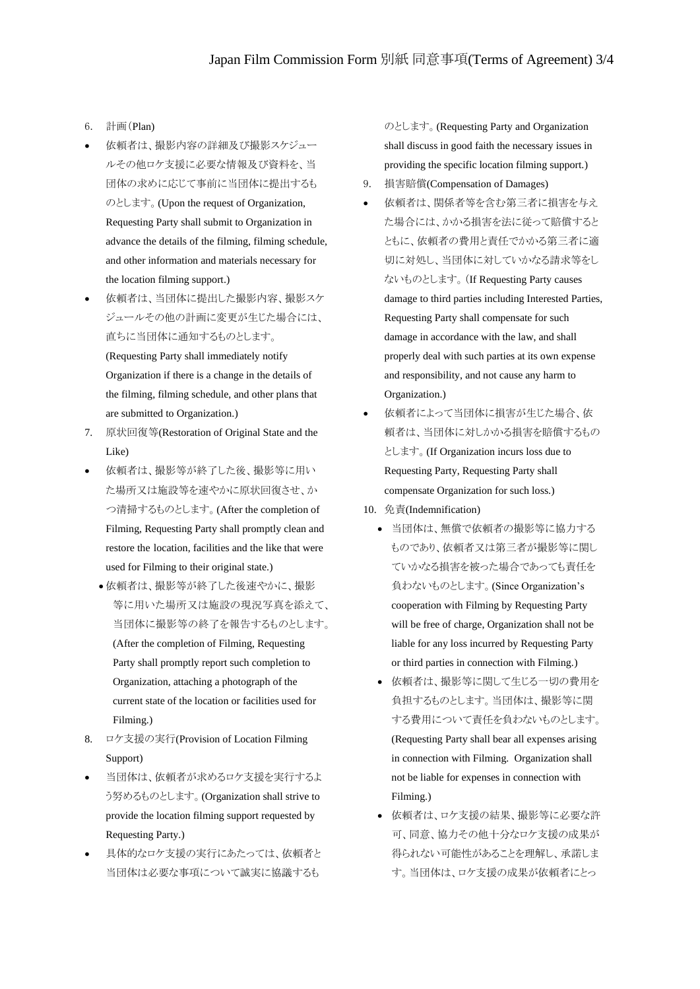- 6. 計画(Plan)
- 依頼者は、撮影内容の詳細及び撮影スケジュー ルその他ロケ支援に必要な情報及び資料を、当 団体の求めに応じて事前に当団体に提出するも のとします。(Upon the request of Organization, Requesting Party shall submit to Organization in advance the details of the filming, filming schedule, and other information and materials necessary for the location filming support.)
- 依頼者は、当団体に提出した撮影内容、撮影スケ ジュールその他の計画に変更が生じた場合には、 直ちに当団体に通知するものとします。

(Requesting Party shall immediately notify Organization if there is a change in the details of the filming, filming schedule, and other plans that are submitted to Organization.)

- 7. 原状回復等(Restoration of Original State and the Like)
- 依頼者は、撮影等が終了した後、撮影等に用い た場所又は施設等を速やかに原状回復させ、か つ清掃するものとします。(After the completion of Filming, Requesting Party shall promptly clean and restore the location, facilities and the like that were used for Filming to their original state.)
	- 依頼者は、撮影等が終了した後速やかに、撮影 等に用いた場所又は施設の現況写真を添えて、 当団体に撮影等の終了を報告するものとします。 (After the completion of Filming, Requesting Party shall promptly report such completion to Organization, attaching a photograph of the current state of the location or facilities used for Filming.)
- 8. ロケ支援の実行(Provision of Location Filming Support)
- 当団体は、依頼者が求めるロケ支援を実行するよ う努めるものとします。(Organization shall strive to provide the location filming support requested by Requesting Party.)
- 具体的なロケ支援の実行にあたっては、依頼者と 当団体は必要な事項について誠実に協議するも

のとします。(Requesting Party and Organization shall discuss in good faith the necessary issues in providing the specific location filming support.)

- 9. 損害賠償(Compensation of Damages)
- 依頼者は、関係者等を含む第三者に損害を与え た場合には、かかる損害を法に従って賠償すると ともに、依頼者の費用と責任でかかる第三者に適 切に対処し、当団体に対していかなる請求等をし ないものとします。(If Requesting Party causes damage to third parties including Interested Parties, Requesting Party shall compensate for such damage in accordance with the law, and shall properly deal with such parties at its own expense and responsibility, and not cause any harm to Organization.)
- 依頼者によって当団体に損害が生じた場合、依 頼者は、当団体に対しかかる損害を賠償するもの とします。(If Organization incurs loss due to Requesting Party, Requesting Party shall compensate Organization for such loss.)
- 10. 免責(Indemnification)
	- 当団体は、無償で依頼者の撮影等に協力する ものであり、依頼者又は第三者が撮影等に関し ていかなる損害を被った場合であっても責任を 負わないものとします。(Since Organization's cooperation with Filming by Requesting Party will be free of charge, Organization shall not be liable for any loss incurred by Requesting Party or third parties in connection with Filming.)
	- 依頼者は、撮影等に関して生じる一切の費用を 負担するものとします。当団体は、撮影等に関 する費用について責任を負わないものとします。 (Requesting Party shall bear all expenses arising in connection with Filming. Organization shall not be liable for expenses in connection with Filming.)
	- 依頼者は、ロケ支援の結果、撮影等に必要な許 可、同意、協力その他十分なロケ支援の成果が 得られない可能性があることを理解し、承諾しま す。当団体は、ロケ支援の成果が依頼者にとっ